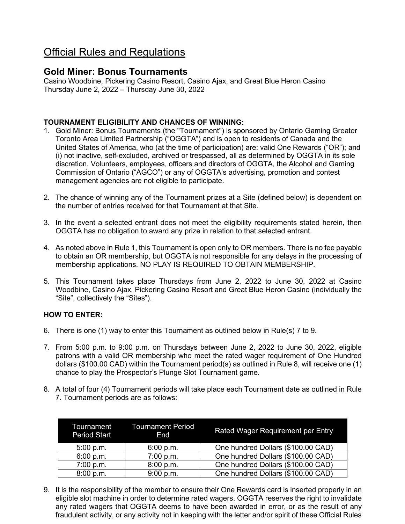# Official Rules and Regulations

# **Gold Miner: Bonus Tournaments**

Casino Woodbine, Pickering Casino Resort, Casino Ajax, and Great Blue Heron Casino Thursday June 2, 2022 – Thursday June 30, 2022

## **TOURNAMENT ELIGIBILITY AND CHANCES OF WINNING:**

- 1. Gold Miner: Bonus Tournaments (the "Tournament") is sponsored by Ontario Gaming Greater Toronto Area Limited Partnership ("OGGTA") and is open to residents of Canada and the United States of America, who (at the time of participation) are: valid One Rewards ("OR"); and (i) not inactive, self-excluded, archived or trespassed, all as determined by OGGTA in its sole discretion. Volunteers, employees, officers and directors of OGGTA, the Alcohol and Gaming Commission of Ontario ("AGCO") or any of OGGTA's advertising, promotion and contest management agencies are not eligible to participate.
- 2. The chance of winning any of the Tournament prizes at a Site (defined below) is dependent on the number of entries received for that Tournament at that Site.
- 3. In the event a selected entrant does not meet the eligibility requirements stated herein, then OGGTA has no obligation to award any prize in relation to that selected entrant.
- 4. As noted above in Rule 1, this Tournament is open only to OR members. There is no fee payable to obtain an OR membership, but OGGTA is not responsible for any delays in the processing of membership applications. NO PLAY IS REQUIRED TO OBTAIN MEMBERSHIP.
- 5. This Tournament takes place Thursdays from June 2, 2022 to June 30, 2022 at Casino Woodbine, Casino Ajax, Pickering Casino Resort and Great Blue Heron Casino (individually the "Site", collectively the "Sites").

# **HOW TO ENTER:**

- 6. There is one (1) way to enter this Tournament as outlined below in Rule(s) 7 to 9.
- 7. From 5:00 p.m. to 9:00 p.m. on Thursdays between June 2, 2022 to June 30, 2022, eligible patrons with a valid OR membership who meet the rated wager requirement of One Hundred dollars (\$100.00 CAD) within the Tournament period(s) as outlined in Rule 8, will receive one (1) chance to play the Prospector's Plunge Slot Tournament game.
- 8. A total of four (4) Tournament periods will take place each Tournament date as outlined in Rule 7. Tournament periods are as follows:

| <b>Period Start</b> | Tournament Tournament Period<br>End | Rated Wager Requirement per Entry  |
|---------------------|-------------------------------------|------------------------------------|
| 5:00 p.m.           | 6:00 p.m.                           | One hundred Dollars (\$100.00 CAD) |
| 6:00 p.m.           | 7:00 p.m.                           | One hundred Dollars (\$100.00 CAD) |
| 7:00 p.m.           | 8:00 p.m.                           | One hundred Dollars (\$100.00 CAD) |
| 8:00 p.m.           | 9:00 p.m.                           | One hundred Dollars (\$100.00 CAD) |

9. It is the responsibility of the member to ensure their One Rewards card is inserted properly in an eligible slot machine in order to determine rated wagers. OGGTA reserves the right to invalidate any rated wagers that OGGTA deems to have been awarded in error, or as the result of any fraudulent activity, or any activity not in keeping with the letter and/or spirit of these Official Rules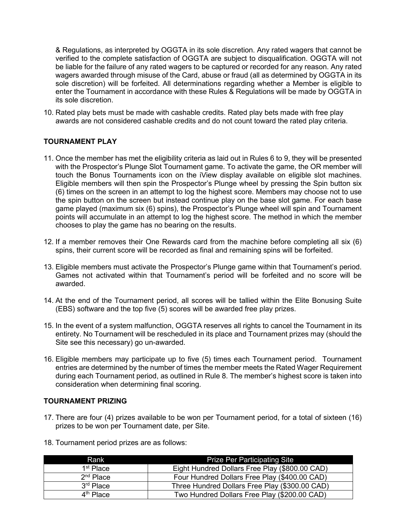& Regulations, as interpreted by OGGTA in its sole discretion. Any rated wagers that cannot be verified to the complete satisfaction of OGGTA are subject to disqualification. OGGTA will not be liable for the failure of any rated wagers to be captured or recorded for any reason. Any rated wagers awarded through misuse of the Card, abuse or fraud (all as determined by OGGTA in its sole discretion) will be forfeited. All determinations regarding whether a Member is eligible to enter the Tournament in accordance with these Rules & Regulations will be made by OGGTA in its sole discretion.

10. Rated play bets must be made with cashable credits. Rated play bets made with free play awards are not considered cashable credits and do not count toward the rated play criteria.

### **TOURNAMENT PLAY**

- 11. Once the member has met the eligibility criteria as laid out in Rules 6 to 9, they will be presented with the Prospector's Plunge Slot Tournament game. To activate the game, the OR member will touch the Bonus Tournaments icon on the iView display available on eligible slot machines. Eligible members will then spin the Prospector's Plunge wheel by pressing the Spin button six (6) times on the screen in an attempt to log the highest score. Members may choose not to use the spin button on the screen but instead continue play on the base slot game. For each base game played (maximum six (6) spins), the Prospector's Plunge wheel will spin and Tournament points will accumulate in an attempt to log the highest score. The method in which the member chooses to play the game has no bearing on the results.
- 12. If a member removes their One Rewards card from the machine before completing all six (6) spins, their current score will be recorded as final and remaining spins will be forfeited.
- 13. Eligible members must activate the Prospector's Plunge game within that Tournament's period. Games not activated within that Tournament's period will be forfeited and no score will be awarded.
- 14. At the end of the Tournament period, all scores will be tallied within the Elite Bonusing Suite (EBS) software and the top five (5) scores will be awarded free play prizes.
- 15. In the event of a system malfunction, OGGTA reserves all rights to cancel the Tournament in its entirety. No Tournament will be rescheduled in its place and Tournament prizes may (should the Site see this necessary) go un-awarded.
- 16. Eligible members may participate up to five (5) times each Tournament period. Tournament entries are determined by the number of times the member meets the Rated Wager Requirement during each Tournament period, as outlined in Rule 8. The member's highest score is taken into consideration when determining final scoring.

### **TOURNAMENT PRIZING**

- 17. There are four (4) prizes available to be won per Tournament period, for a total of sixteen (16) prizes to be won per Tournament date, per Site.
- 18. Tournament period prizes are as follows:

| Rank                  | <b>Prize Per Participating Site</b>            |
|-----------------------|------------------------------------------------|
| 1 <sup>st</sup> Place | Eight Hundred Dollars Free Play (\$800.00 CAD) |
| $2nd$ Place           | Four Hundred Dollars Free Play (\$400.00 CAD)  |
| 3 <sup>rd</sup> Place | Three Hundred Dollars Free Play (\$300.00 CAD) |
| 4 <sup>th</sup> Place | Two Hundred Dollars Free Play (\$200.00 CAD)   |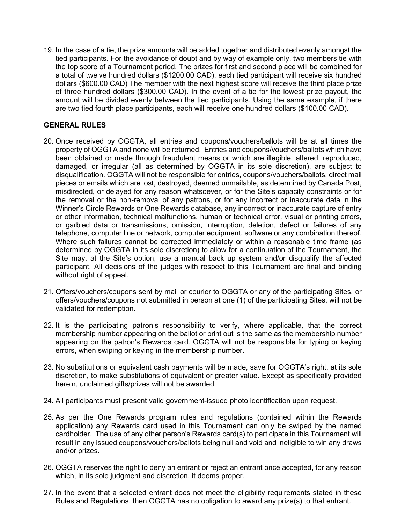19. In the case of a tie, the prize amounts will be added together and distributed evenly amongst the tied participants. For the avoidance of doubt and by way of example only, two members tie with the top score of a Tournament period. The prizes for first and second place will be combined for a total of twelve hundred dollars (\$1200.00 CAD), each tied participant will receive six hundred dollars (\$600.00 CAD) The member with the next highest score will receive the third place prize of three hundred dollars (\$300.00 CAD). In the event of a tie for the lowest prize payout, the amount will be divided evenly between the tied participants. Using the same example, if there are two tied fourth place participants, each will receive one hundred dollars (\$100.00 CAD).

## **GENERAL RULES**

- 20. Once received by OGGTA, all entries and coupons/vouchers/ballots will be at all times the property of OGGTA and none will be returned. Entries and coupons/vouchers/ballots which have been obtained or made through fraudulent means or which are illegible, altered, reproduced, damaged, or irregular (all as determined by OGGTA in its sole discretion), are subject to disqualification. OGGTA will not be responsible for entries, coupons/vouchers/ballots, direct mail pieces or emails which are lost, destroyed, deemed unmailable, as determined by Canada Post, misdirected, or delayed for any reason whatsoever, or for the Site's capacity constraints or for the removal or the non-removal of any patrons, or for any incorrect or inaccurate data in the Winner's Circle Rewards or One Rewards database, any incorrect or inaccurate capture of entry or other information, technical malfunctions, human or technical error, visual or printing errors, or garbled data or transmissions, omission, interruption, deletion, defect or failures of any telephone, computer line or network, computer equipment, software or any combination thereof. Where such failures cannot be corrected immediately or within a reasonable time frame (as determined by OGGTA in its sole discretion) to allow for a continuation of the Tournament, the Site may, at the Site's option, use a manual back up system and/or disqualify the affected participant. All decisions of the judges with respect to this Tournament are final and binding without right of appeal.
- 21. Offers/vouchers/coupons sent by mail or courier to OGGTA or any of the participating Sites, or offers/vouchers/coupons not submitted in person at one (1) of the participating Sites, will not be validated for redemption.
- 22. It is the participating patron's responsibility to verify, where applicable, that the correct membership number appearing on the ballot or print out is the same as the membership number appearing on the patron's Rewards card. OGGTA will not be responsible for typing or keying errors, when swiping or keying in the membership number.
- 23. No substitutions or equivalent cash payments will be made, save for OGGTA's right, at its sole discretion, to make substitutions of equivalent or greater value. Except as specifically provided herein, unclaimed gifts/prizes will not be awarded.
- 24. All participants must present valid government-issued photo identification upon request.
- 25. As per the One Rewards program rules and regulations (contained within the Rewards application) any Rewards card used in this Tournament can only be swiped by the named cardholder. The use of any other person's Rewards card(s) to participate in this Tournament will result in any issued coupons/vouchers/ballots being null and void and ineligible to win any draws and/or prizes.
- 26. OGGTA reserves the right to deny an entrant or reject an entrant once accepted, for any reason which, in its sole judgment and discretion, it deems proper.
- 27. In the event that a selected entrant does not meet the eligibility requirements stated in these Rules and Regulations, then OGGTA has no obligation to award any prize(s) to that entrant.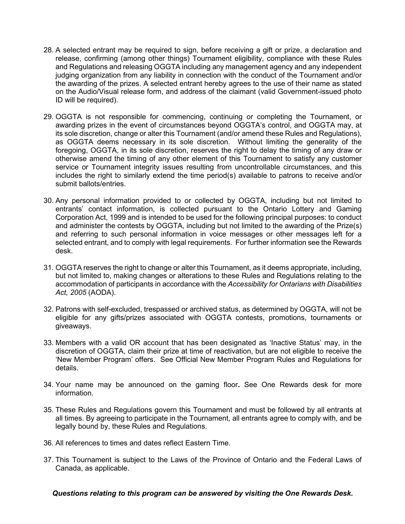- 28. A selected entrant may be required to sign, before receiving a gift or prize, a declaration and release, confirming (among other things) Tournament eligibility, compliance with these Rules and Regulations and releasing OGGTA including any management agency and any independent judging organization from any liability in connection with the conduct of the Tournament and/or the awarding of the prizes. A selected entrant hereby agrees to the use of their name as stated on the Audio/Visual release form, and address of the claimant (valid Government-issued photo ID will be required).
- 29. OGGTA is not responsible for commencing, continuing or completing the Tournament, or awarding prizes in the event of circumstances beyond OGGTA's control, and OGGTA may, at its sole discretion, change or alter this Tournament (and/or amend these Rules and Regulations), as OGGTA deems necessary in its sole discretion. Without limiting the generality of the foregoing, OGGTA, in its sole discretion, reserves the right to delay the timing of any draw or otherwise amend the timing of any other element of this Tournament to satisfy any customer service or Tournament integrity issues resulting from uncontrollable circumstances, and this includes the right to similarly extend the time period(s) available to patrons to receive and/or submit ballots/entries.
- 30. Any personal information provided to or collected by OGGTA, including but not limited to entrants' contact information, is collected pursuant to the Ontario Lottery and Gaming Corporation Act, 1999 and is intended to be used for the following principal purposes: to conduct and administer the contests by OGGTA, including but not limited to the awarding of the Prize(s) and referring to such personal information in voice messages or other messages left for a selected entrant, and to comply with legal requirements. For further information see the Rewards desk.
- 31. OGGTA reserves the right to change or alter this Tournament, as it deems appropriate, including, but not limited to, making changes or alterations to these Rules and Regulations relating to the accommodation of participants in accordance with the *Accessibility for Ontarians with Disabilities Act, 2005* (AODA).
- 32. Patrons with self-excluded, trespassed or archived status, as determined by OGGTA, will not be eligible for any gifts/prizes associated with OGGTA contests, promotions, tournaments or giveaways.
- 33. Members with a valid OR account that has been designated as 'Inactive Status' may, in the discretion of OGGTA, claim their prize at time of reactivation, but are not eligible to receive the 'New Member Program' offers. See Official New Member Program Rules and Regulations for details.
- 34. Your name may be announced on the gaming floor**.** See One Rewards desk for more information.
- 35. These Rules and Regulations govern this Tournament and must be followed by all entrants at all times. By agreeing to participate in the Tournament, all entrants agree to comply with, and be legally bound by, these Rules and Regulations.
- 36. All references to times and dates reflect Eastern Time.
- 37. This Tournament is subject to the Laws of the Province of Ontario and the Federal Laws of Canada, as applicable.

*Questions relating to this program can be answered by visiting the One Rewards Desk.*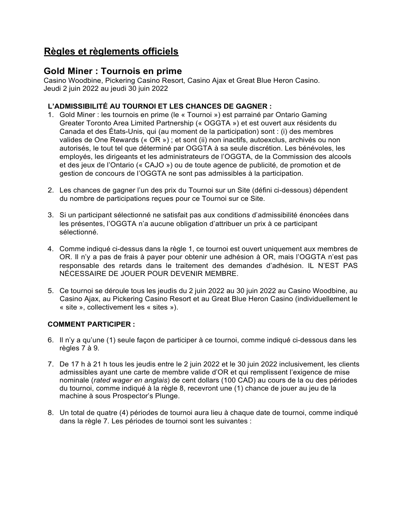# **Règles et règlements officiels**

# **Gold Miner : Tournois en prime**

Casino Woodbine, Pickering Casino Resort, Casino Ajax et Great Blue Heron Casino. Jeudi 2 juin 2022 au jeudi 30 juin 2022

## **L'ADMISSIBILITÉ AU TOURNOI ET LES CHANCES DE GAGNER :**

- 1. Gold Miner : les tournois en prime (le « Tournoi ») est parrainé par Ontario Gaming Greater Toronto Area Limited Partnership (« OGGTA ») et est ouvert aux résidents du Canada et des États-Unis, qui (au moment de la participation) sont : (i) des membres valides de One Rewards (« OR ») ; et sont (ii) non inactifs, autoexclus, archivés ou non autorisés, le tout tel que déterminé par OGGTA à sa seule discrétion. Les bénévoles, les employés, les dirigeants et les administrateurs de l'OGGTA, de la Commission des alcools et des jeux de l'Ontario (« CAJO ») ou de toute agence de publicité, de promotion et de gestion de concours de l'OGGTA ne sont pas admissibles à la participation.
- 2. Les chances de gagner l'un des prix du Tournoi sur un Site (défini ci-dessous) dépendent du nombre de participations reçues pour ce Tournoi sur ce Site.
- 3. Si un participant sélectionné ne satisfait pas aux conditions d'admissibilité énoncées dans les présentes, l'OGGTA n'a aucune obligation d'attribuer un prix à ce participant sélectionné.
- 4. Comme indiqué ci-dessus dans la règle 1, ce tournoi est ouvert uniquement aux membres de OR. Il n'y a pas de frais à payer pour obtenir une adhésion à OR, mais l'OGGTA n'est pas responsable des retards dans le traitement des demandes d'adhésion. IL N'EST PAS NÉCESSAIRE DE JOUER POUR DEVENIR MEMBRE.
- 5. Ce tournoi se déroule tous les jeudis du 2 juin 2022 au 30 juin 2022 au Casino Woodbine, au Casino Ajax, au Pickering Casino Resort et au Great Blue Heron Casino (individuellement le « site », collectivement les « sites »).

### **COMMENT PARTICIPER :**

- 6. Il n'y a qu'une (1) seule façon de participer à ce tournoi, comme indiqué ci-dessous dans les règles 7 à 9.
- 7. De 17 h à 21 h tous les jeudis entre le 2 juin 2022 et le 30 juin 2022 inclusivement, les clients admissibles ayant une carte de membre valide d'OR et qui remplissent l'exigence de mise nominale (*rated wager en anglais*) de cent dollars (100 CAD) au cours de la ou des périodes du tournoi, comme indiqué à la règle 8, recevront une (1) chance de jouer au jeu de la machine à sous Prospector's Plunge.
- 8. Un total de quatre (4) périodes de tournoi aura lieu à chaque date de tournoi, comme indiqué dans la règle 7. Les périodes de tournoi sont les suivantes :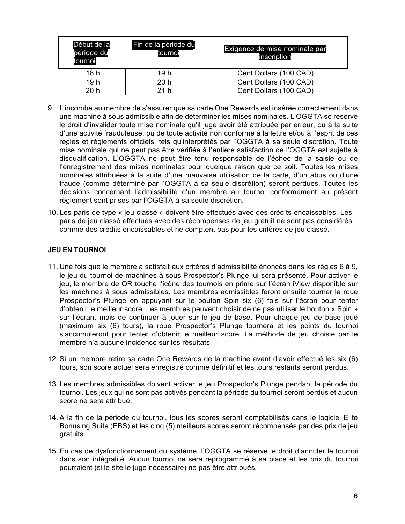| Début de la<br>période du<br>tournoi | Fin de la période du<br>tournoi | Exigence de mise nominale par<br>inscription |
|--------------------------------------|---------------------------------|----------------------------------------------|
| 18 h                                 | 19 h                            | Cent Dollars (100 CAD)                       |
| 19 h                                 | 20 h                            | Cent Dollars (100 CAD)                       |
| 20 h                                 | 21 h                            | Cent Dollars (100 CAD)                       |

- 9. Il incombe au membre de s'assurer que sa carte One Rewards est insérée correctement dans une machine à sous admissible afin de déterminer les mises nominales. L'OGGTA se réserve le droit d'invalider toute mise nominale qu'il juge avoir été attribuée par erreur, ou à la suite d'une activité frauduleuse, ou de toute activité non conforme à la lettre et/ou à l'esprit de ces règles et règlements officiels, tels qu'interprétés par l'OGGTA à sa seule discrétion. Toute mise nominale qui ne peut pas être vérifiée à l'entière satisfaction de l'OGGTA est sujette à disqualification. L'OGGTA ne peut être tenu responsable de l'échec de la saisie ou de l'enregistrement des mises nominales pour quelque raison que ce soit. Toutes les mises nominales attribuées à la suite d'une mauvaise utilisation de la carte, d'un abus ou d'une fraude (comme déterminé par l'OGGTA à sa seule discrétion) seront perdues. Toutes les décisions concernant l'admissibilité d'un membre au tournoi conformément au présent règlement sont prises par l'OGGTA à sa seule discrétion.
- 10. Les paris de type « jeu classé » doivent être effectués avec des crédits encaissables. Les paris de jeu classé effectués avec des récompenses de jeu gratuit ne sont pas considérés comme des crédits encaissables et ne comptent pas pour les critères de jeu classé.

#### **JEU EN TOURNOI**

- 11. Une fois que le membre a satisfait aux critères d'admissibilité énoncés dans les règles 6 à 9, le jeu du tournoi de machines à sous Prospector's Plunge lui sera présenté. Pour activer le jeu, le membre de OR touche l'icône des tournois en prime sur l'écran iView disponible sur les machines à sous admissibles. Les membres admissibles feront ensuite tourner la roue Prospector's Plunge en appuyant sur le bouton Spin six (6) fois sur l'écran pour tenter d'obtenir le meilleur score. Les membres peuvent choisir de ne pas utiliser le bouton « Spin » sur l'écran, mais de continuer à jouer sur le jeu de base. Pour chaque jeu de base joué (maximum six (6) tours), la roue Prospector's Plunge tournera et les points du tournoi s'accumuleront pour tenter d'obtenir le meilleur score. La méthode de jeu choisie par le membre n'a aucune incidence sur les résultats.
- 12. Si un membre retire sa carte One Rewards de la machine avant d'avoir effectué les six (6) tours, son score actuel sera enregistré comme définitif et les tours restants seront perdus.
- 13. Les membres admissibles doivent activer le jeu Prospector's Plunge pendant la période du tournoi. Les jeux qui ne sont pas activés pendant la période du tournoi seront perdus et aucun score ne sera attribué.
- 14. À la fin de la période du tournoi, tous les scores seront comptabilisés dans le logiciel Elite Bonusing Suite (EBS) et les cinq (5) meilleurs scores seront récompensés par des prix de jeu gratuits.
- 15. En cas de dysfonctionnement du système, l'OGGTA se réserve le droit d'annuler le tournoi dans son intégralité. Aucun tournoi ne sera reprogrammé à sa place et les prix du tournoi pourraient (si le site le juge nécessaire) ne pas être attribués.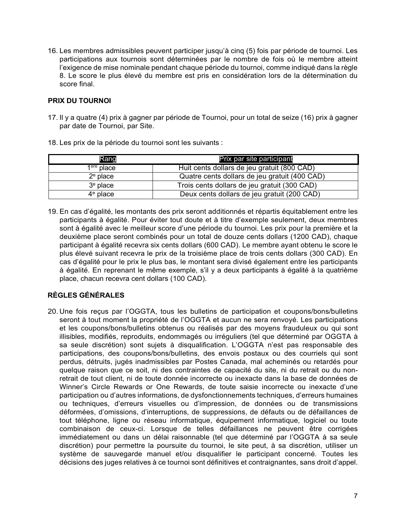16. Les membres admissibles peuvent participer jusqu'à cinq (5) fois par période de tournoi. Les participations aux tournois sont déterminées par le nombre de fois où le membre atteint l'exigence de mise nominale pendant chaque période du tournoi, comme indiqué dans la règle 8. Le score le plus élevé du membre est pris en considération lors de la détermination du score final.

#### **PRIX DU TOURNOI**

17. Il y a quatre (4) prix à gagner par période de Tournoi, pour un total de seize (16) prix à gagner par date de Tournoi, par Site.

| Rang         | Prix par site participant                     |
|--------------|-----------------------------------------------|
| $1ere$ place | Huit cents dollars de jeu gratuit (800 CAD)   |
| $2e$ place   | Quatre cents dollars de jeu gratuit (400 CAD) |
| $3e$ place   | Trois cents dollars de jeu gratuit (300 CAD)  |
| $4^e$ place  | Deux cents dollars de jeu gratuit (200 CAD)   |

18. Les prix de la période du tournoi sont les suivants :

19. En cas d'égalité, les montants des prix seront additionnés et répartis équitablement entre les participants à égalité. Pour éviter tout doute et à titre d'exemple seulement, deux membres sont à égalité avec le meilleur score d'une période du tournoi. Les prix pour la première et la deuxième place seront combinés pour un total de douze cents dollars (1200 CAD), chaque participant à égalité recevra six cents dollars (600 CAD). Le membre ayant obtenu le score le plus élevé suivant recevra le prix de la troisième place de trois cents dollars (300 CAD). En cas d'égalité pour le prix le plus bas, le montant sera divisé également entre les participants à égalité. En reprenant le même exemple, s'il y a deux participants à égalité à la quatrième place, chacun recevra cent dollars (100 CAD).

# **RÈGLES GÉNÉRALES**

20. Une fois reçus par l'OGGTA, tous les bulletins de participation et coupons/bons/bulletins seront à tout moment la propriété de l'OGGTA et aucun ne sera renvoyé. Les participations et les coupons/bons/bulletins obtenus ou réalisés par des moyens frauduleux ou qui sont illisibles, modifiés, reproduits, endommagés ou irréguliers (tel que déterminé par OGGTA à sa seule discrétion) sont sujets à disqualification. L'OGGTA n'est pas responsable des participations, des coupons/bons/bulletins, des envois postaux ou des courriels qui sont perdus, détruits, jugés inadmissibles par Postes Canada, mal acheminés ou retardés pour quelque raison que ce soit, ni des contraintes de capacité du site, ni du retrait ou du nonretrait de tout client, ni de toute donnée incorrecte ou inexacte dans la base de données de Winner's Circle Rewards or One Rewards, de toute saisie incorrecte ou inexacte d'une participation ou d'autres informations, de dysfonctionnements techniques, d'erreurs humaines ou techniques, d'erreurs visuelles ou d'impression, de données ou de transmissions déformées, d'omissions, d'interruptions, de suppressions, de défauts ou de défaillances de tout téléphone, ligne ou réseau informatique, équipement informatique, logiciel ou toute combinaison de ceux-ci. Lorsque de telles défaillances ne peuvent être corrigées immédiatement ou dans un délai raisonnable (tel que déterminé par l'OGGTA à sa seule discrétion) pour permettre la poursuite du tournoi, le site peut, à sa discrétion, utiliser un système de sauvegarde manuel et/ou disqualifier le participant concerné. Toutes les décisions des juges relatives à ce tournoi sont définitives et contraignantes, sans droit d'appel.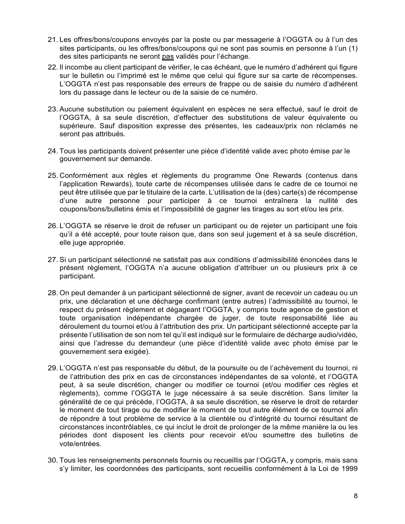- 21. Les offres/bons/coupons envoyés par la poste ou par messagerie à l'OGGTA ou à l'un des sites participants, ou les offres/bons/coupons qui ne sont pas soumis en personne à l'un (1) des sites participants ne seront pas validés pour l'échange.
- 22. Il incombe au client participant de vérifier, le cas échéant, que le numéro d'adhérent qui figure sur le bulletin ou l'imprimé est le même que celui qui figure sur sa carte de récompenses. L'OGGTA n'est pas responsable des erreurs de frappe ou de saisie du numéro d'adhérent lors du passage dans le lecteur ou de la saisie de ce numéro.
- 23. Aucune substitution ou paiement équivalent en espèces ne sera effectué, sauf le droit de l'OGGTA, à sa seule discrétion, d'effectuer des substitutions de valeur équivalente ou supérieure. Sauf disposition expresse des présentes, les cadeaux/prix non réclamés ne seront pas attribués.
- 24. Tous les participants doivent présenter une pièce d'identité valide avec photo émise par le gouvernement sur demande.
- 25. Conformément aux règles et règlements du programme One Rewards (contenus dans l'application Rewards), toute carte de récompenses utilisée dans le cadre de ce tournoi ne peut être utilisée que par le titulaire de la carte. L'utilisation de la (des) carte(s) de récompense d'une autre personne pour participer à ce tournoi entraînera la nullité des coupons/bons/bulletins émis et l'impossibilité de gagner les tirages au sort et/ou les prix.
- 26. L'OGGTA se réserve le droit de refuser un participant ou de rejeter un participant une fois qu'il a été accepté, pour toute raison que, dans son seul jugement et à sa seule discrétion, elle juge appropriée.
- 27. Si un participant sélectionné ne satisfait pas aux conditions d'admissibilité énoncées dans le présent règlement, l'OGGTA n'a aucune obligation d'attribuer un ou plusieurs prix à ce participant.
- 28. On peut demander à un participant sélectionné de signer, avant de recevoir un cadeau ou un prix, une déclaration et une décharge confirmant (entre autres) l'admissibilité au tournoi, le respect du présent règlement et dégageant l'OGGTA, y compris toute agence de gestion et toute organisation indépendante chargée de juger, de toute responsabilité liée au déroulement du tournoi et/ou à l'attribution des prix. Un participant sélectionné accepte par la présente l'utilisation de son nom tel qu'il est indiqué sur le formulaire de décharge audio/vidéo, ainsi que l'adresse du demandeur (une pièce d'identité valide avec photo émise par le gouvernement sera exigée).
- 29. L'OGGTA n'est pas responsable du début, de la poursuite ou de l'achèvement du tournoi, ni de l'attribution des prix en cas de circonstances indépendantes de sa volonté, et l'OGGTA peut, à sa seule discrétion, changer ou modifier ce tournoi (et/ou modifier ces règles et règlements), comme l'OGGTA le juge nécessaire à sa seule discrétion. Sans limiter la généralité de ce qui précède, l'OGGTA, à sa seule discrétion, se réserve le droit de retarder le moment de tout tirage ou de modifier le moment de tout autre élément de ce tournoi afin de répondre à tout problème de service à la clientèle ou d'intégrité du tournoi résultant de circonstances incontrôlables, ce qui inclut le droit de prolonger de la même manière la ou les périodes dont disposent les clients pour recevoir et/ou soumettre des bulletins de vote/entrées.
- 30. Tous les renseignements personnels fournis ou recueillis par l'OGGTA, y compris, mais sans s'y limiter, les coordonnées des participants, sont recueillis conformément à la Loi de 1999